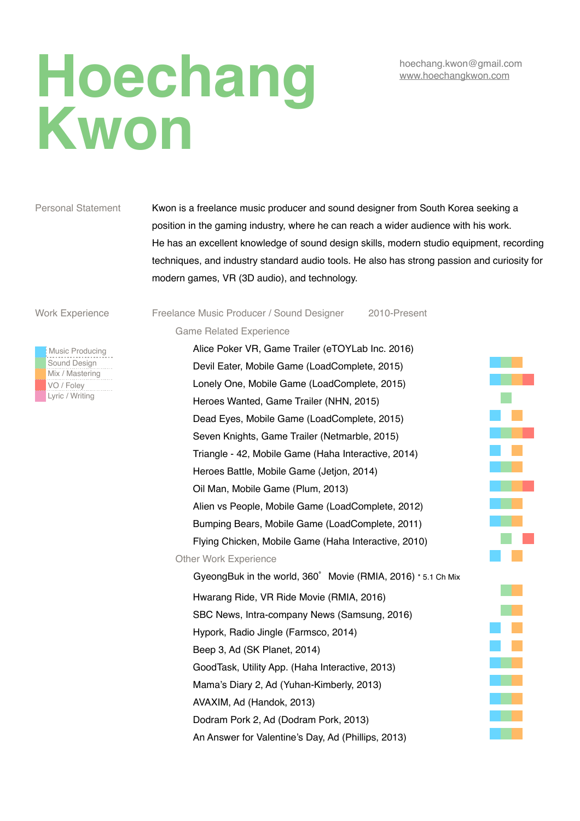hoechang.kwon@gmail.com [www.hoechangkwon.com](http://www.hoechangkwon.com)

## **Hoechang Kwon**

Personal Statement Kwon is a freelance music producer and sound designer from South Korea seeking a position in the gaming industry, where he can reach a wider audience with his work. He has an excellent knowledge of sound design skills, modern studio equipment, recording techniques, and industry standard audio tools. He also has strong passion and curiosity for modern games, VR (3D audio), and technology.

Music Producing Sound Design Mix / Mastering VO / Foley Lyric / Writing

## Work Experience Freelance Music Producer / Sound Designer 2010-Present

Game Related Experience

Alice Poker VR, Game Trailer (eTOYLab Inc. 2016) Devil Eater, Mobile Game (LoadComplete, 2015) Lonely One, Mobile Game (LoadComplete, 2015) Heroes Wanted, Game Trailer (NHN, 2015) Dead Eyes, Mobile Game (LoadComplete, 2015) Seven Knights, Game Trailer (Netmarble, 2015) Triangle - 42, Mobile Game (Haha Interactive, 2014) Heroes Battle, Mobile Game (Jetjon, 2014) Oil Man, Mobile Game (Plum, 2013) Alien vs People, Mobile Game (LoadComplete, 2012) Bumping Bears, Mobile Game (LoadComplete, 2011) Flying Chicken, Mobile Game (Haha Interactive, 2010) Other Work Experience GyeongBuk in the world, 360° Movie (RMIA, 2016) \* 5.1 Ch Mix Hwarang Ride, VR Ride Movie (RMIA, 2016) SBC News, Intra-company News (Samsung, 2016) Hypork, Radio Jingle (Farmsco, 2014) Beep 3, Ad (SK Planet, 2014) GoodTask, Utility App. (Haha Interactive, 2013) Mama's Diary 2, Ad (Yuhan-Kimberly, 2013) AVAXIM, Ad (Handok, 2013)

Dodram Pork 2, Ad (Dodram Pork, 2013) An Answer for Valentine's Day, Ad (Phillips, 2013)